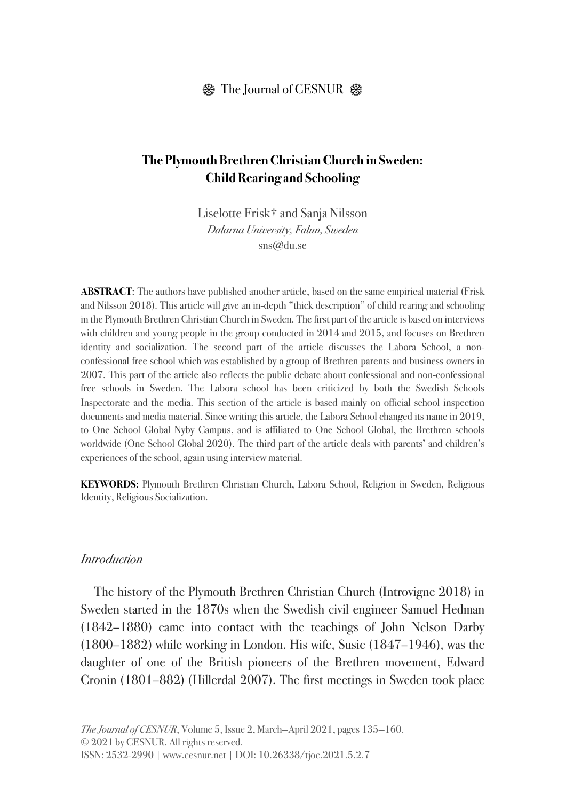# **The Plymouth Brethren Christian Church in Sweden: Child Rearing and Schooling**

Liselotte Frisk† and Sanja Nilsson *Dalarna University, Falun, Sweden* sns@du.se

**ABSTRACT**: The authors have published another article, based on the same empirical material (Frisk and Nilsson 2018). This article will give an in-depth "thick description" of child rearing and schooling in the Plymouth Brethren Christian Church in Sweden. The first part of the article is based on interviews with children and young people in the group conducted in 2014 and 2015, and focuses on Brethren identity and socialization. The second part of the article discusses the Labora School, a nonconfessional free school which was established by a group of Brethren parents and business owners in 2007. This part of the article also reflects the public debate about confessional and non-confessional free schools in Sweden. The Labora school has been criticized by both the Swedish Schools Inspectorate and the media. This section of the article is based mainly on official school inspection documents and media material. Since writing this article, the Labora School changed its name in 2019, to One School Global Nyby Campus, and is affiliated to One School Global, the Brethren schools worldwide (One School Global 2020). The third part of the article deals with parents' and children's experiences of the school, again using interview material.

**KEYWORDS**: Plymouth Brethren Christian Church, Labora School, Religion in Sweden, Religious Identity, Religious Socialization.

#### *Introduction*

The history of the Plymouth Brethren Christian Church (Introvigne 2018) in Sweden started in the 1870s when the Swedish civil engineer Samuel Hedman (1842–1880) came into contact with the teachings of John Nelson Darby (1800–1882) while working in London. His wife, Susie (1847–1946), was the daughter of one of the British pioneers of the Brethren movement, Edward Cronin (1801–882) (Hillerdal 2007). The first meetings in Sweden took place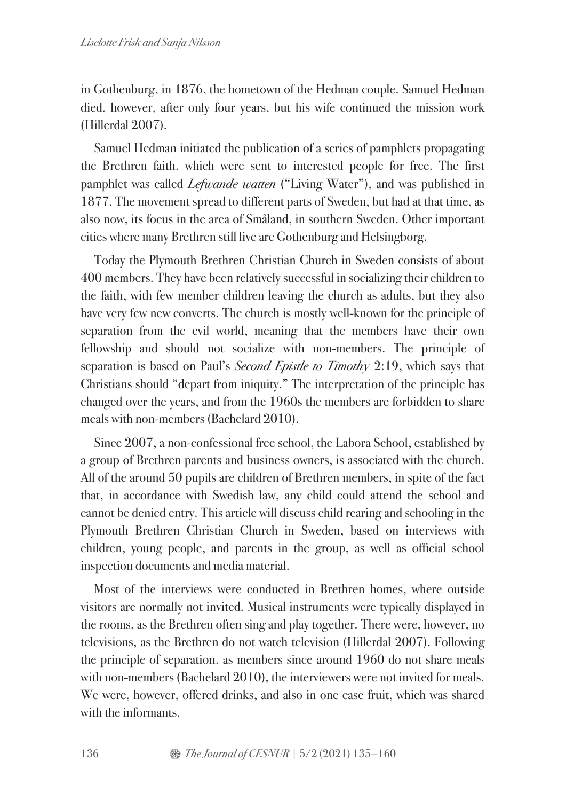in Gothenburg, in 1876, the hometown of the Hedman couple. Samuel Hedman died, however, after only four years, but his wife continued the mission work (Hillerdal 2007).

Samuel Hedman initiated the publication of a series of pamphlets propagating the Brethren faith, which were sent to interested people for free. The first pamphlet was called *Lefwande watten* ("Living Water"), and was published in 1877. The movement spread to different parts of Sweden, but had at that time, as also now, its focus in the area of Småland, in southern Sweden. Other important cities where many Brethren still live are Gothenburg and Helsingborg.

Today the Plymouth Brethren Christian Church in Sweden consists of about 400 members. They have been relatively successful in socializing their children to the faith, with few member children leaving the church as adults, but they also have very few new converts. The church is mostly well-known for the principle of separation from the evil world, meaning that the members have their own fellowship and should not socialize with non-members. The principle of separation is based on Paul's *Second Epistle to Timothy* 2:19, which says that Christians should "depart from iniquity." The interpretation of the principle has changed over the years, and from the 1960s the members are forbidden to share meals with non-members (Bachelard 2010).

Since 2007, a non-confessional free school, the Labora School, established by a group of Brethren parents and business owners, is associated with the church. All of the around 50 pupils are children of Brethren members, in spite of the fact that, in accordance with Swedish law, any child could attend the school and cannot be denied entry. This article will discuss child rearing and schooling in the Plymouth Brethren Christian Church in Sweden, based on interviews with children, young people, and parents in the group, as well as official school inspection documents and media material.

Most of the interviews were conducted in Brethren homes, where outside visitors are normally not invited. Musical instruments were typically displayed in the rooms, as the Brethren often sing and play together. There were, however, no televisions, as the Brethren do not watch television (Hillerdal 2007). Following the principle of separation, as members since around 1960 do not share meals with non-members (Bachelard 2010), the interviewers were not invited for meals. We were, however, offered drinks, and also in one case fruit, which was shared with the informants.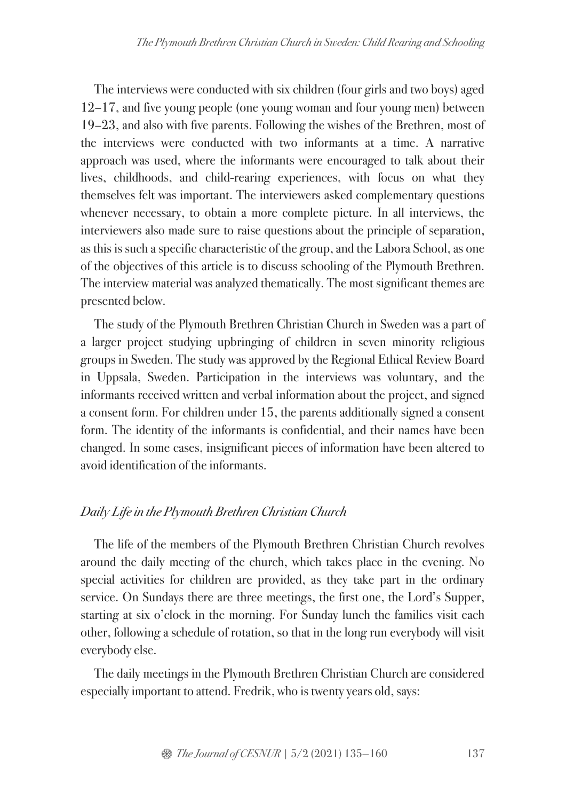The interviews were conducted with six children (four girls and two boys) aged 12–17, and five young people (one young woman and four young men) between 19–23, and also with five parents. Following the wishes of the Brethren, most of the interviews were conducted with two informants at a time. A narrative approach was used, where the informants were encouraged to talk about their lives, childhoods, and child-rearing experiences, with focus on what they themselves felt was important. The interviewers asked complementary questions whenever necessary, to obtain a more complete picture. In all interviews, the interviewers also made sure to raise questions about the principle of separation, as this is such a specific characteristic of the group, and the Labora School, as one of the objectives of this article is to discuss schooling of the Plymouth Brethren. The interview material was analyzed thematically. The most significant themes are presented below.

The study of the Plymouth Brethren Christian Church in Sweden was a part of a larger project studying upbringing of children in seven minority religious groups in Sweden. The study was approved by the Regional Ethical Review Board in Uppsala, Sweden. Participation in the interviews was voluntary, and the informants received written and verbal information about the project, and signed a consent form. For children under 15, the parents additionally signed a consent form. The identity of the informants is confidential, and their names have been changed. In some cases, insignificant pieces of information have been altered to avoid identification of the informants.

## *Daily Life in the Plymouth Brethren Christian Church*

The life of the members of the Plymouth Brethren Christian Church revolves around the daily meeting of the church, which takes place in the evening. No special activities for children are provided, as they take part in the ordinary service. On Sundays there are three meetings, the first one, the Lord's Supper, starting at six o'clock in the morning. For Sunday lunch the families visit each other, following a schedule of rotation, so that in the long run everybody will visit everybody else.

The daily meetings in the Plymouth Brethren Christian Church are considered especially important to attend. Fredrik, who is twenty years old, says: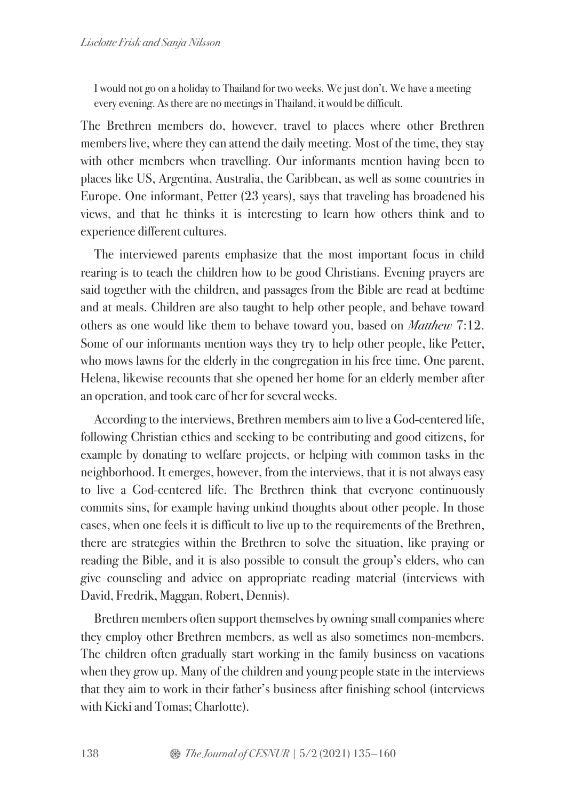I would not go on a holiday to Thailand for two weeks. We just don't. We have a meeting every evening. As there are no meetings in Thailand, it would be difficult.

The Brethren members do, however, travel to places where other Brethren members live, where they can attend the daily meeting. Most of the time, they stay with other members when travelling. Our informants mention having been to places like US, Argentina, Australia, the Caribbean, as well as some countries in Europe. One informant, Petter (23 years), says that traveling has broadened his views, and that he thinks it is interesting to learn how others think and to experience different cultures.

The interviewed parents emphasize that the most important focus in child rearing is to teach the children how to be good Christians. Evening prayers are said together with the children, and passages from the Bible are read at bedtime and at meals. Children are also taught to help other people, and behave toward others as one would like them to behave toward you, based on *Matthew* 7:12. Some of our informants mention ways they try to help other people, like Petter, who mows lawns for the elderly in the congregation in his free time. One parent, Helena, likewise recounts that she opened her home for an elderly member after an operation, and took care of her for several weeks.

According to the interviews, Brethren members aim to live a God-centered life, following Christian ethics and seeking to be contributing and good citizens, for example by donating to welfare projects, or helping with common tasks in the neighborhood. It emerges, however, from the interviews, that it is not always easy to live a God-centered life. The Brethren think that everyone continuously commits sins, for example having unkind thoughts about other people. In those cases, when one feels it is difficult to live up to the requirements of the Brethren, there are strategies within the Brethren to solve the situation, like praying or reading the Bible, and it is also possible to consult the group's elders, who can give counseling and advice on appropriate reading material (interviews with David, Fredrik, Maggan, Robert, Dennis).

Brethren members often support themselves by owning small companies where they employ other Brethren members, as well as also sometimes non-members. The children often gradually start working in the family business on vacations when they grow up. Many of the children and young people state in the interviews that they aim to work in their father's business after finishing school (interviews with Kicki and Tomas; Charlotte).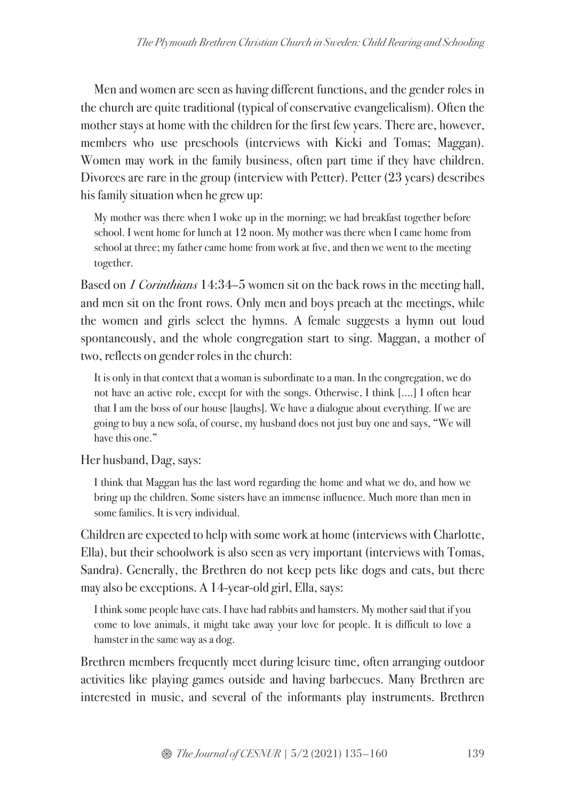Men and women are seen as having different functions, and the gender roles in the church are quite traditional (typical of conservative evangelicalism). Often the mother stays at home with the children for the first few years. There are, however, members who use preschools (interviews with Kicki and Tomas; Maggan). Women may work in the family business, often part time if they have children. Divorces are rare in the group (interview with Petter). Petter (23 years) describes his family situation when he grew up:

My mother was there when I woke up in the morning; we had breakfast together before school. I went home for lunch at 12 noon. My mother was there when I came home from school at three; my father came home from work at five, and then we went to the meeting together.

Based on *1 Corinthians* 14:34–5 women sit on the back rows in the meeting hall, and men sit on the front rows. Only men and boys preach at the meetings, while the women and girls select the hymns. A female suggests a hymn out loud spontaneously, and the whole congregation start to sing. Maggan, a mother of two, reflects on gender roles in the church:

It is only in that context that a woman is subordinate to a man. In the congregation, we do not have an active role, except for with the songs. Otherwise, I think [….] I often hear that I am the boss of our house [laughs]. We have a dialogue about everything. If we are going to buy a new sofa, of course, my husband does not just buy one and says, "We will have this one."

Her husband, Dag, says:

I think that Maggan has the last word regarding the home and what we do, and how we bring up the children. Some sisters have an immense influence. Much more than men in some families. It is very individual.

Children are expected to help with some work at home (interviews with Charlotte, Ella), but their schoolwork is also seen as very important (interviews with Tomas, Sandra). Generally, the Brethren do not keep pets like dogs and cats, but there may also be exceptions. A 14-year-old girl, Ella, says:

I think some people have cats. I have had rabbits and hamsters. My mother said that if you come to love animals, it might take away your love for people. It is difficult to love a hamster in the same way as a dog.

Brethren members frequently meet during leisure time, often arranging outdoor activities like playing games outside and having barbecues. Many Brethren are interested in music, and several of the informants play instruments. Brethren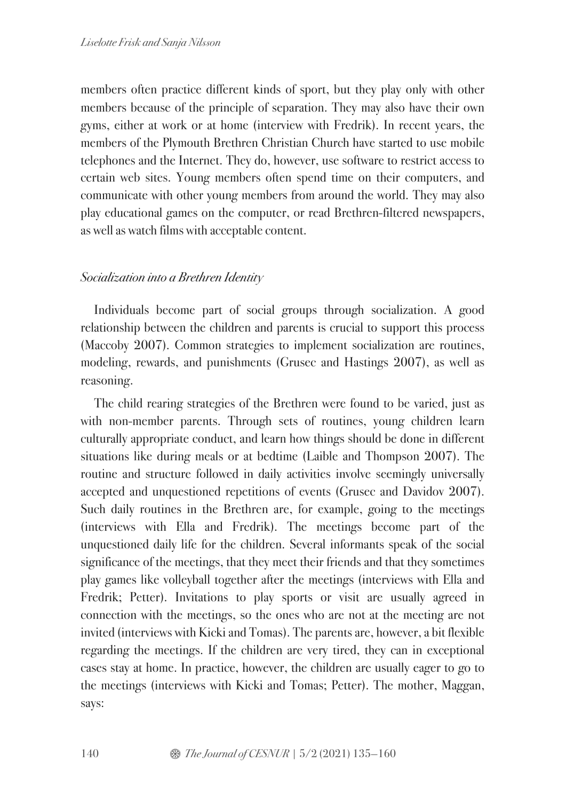members often practice different kinds of sport, but they play only with other members because of the principle of separation. They may also have their own gyms, either at work or at home (interview with Fredrik). In recent years, the members of the Plymouth Brethren Christian Church have started to use mobile telephones and the Internet. They do, however, use software to restrict access to certain web sites. Young members often spend time on their computers, and communicate with other young members from around the world. They may also play educational games on the computer, or read Brethren-filtered newspapers, as well as watch films with acceptable content.

### *Socialization into a Brethren Identity*

Individuals become part of social groups through socialization. A good relationship between the children and parents is crucial to support this process (Maccoby 2007). Common strategies to implement socialization are routines, modeling, rewards, and punishments (Grusec and Hastings 2007), as well as reasoning.

The child rearing strategies of the Brethren were found to be varied, just as with non-member parents. Through sets of routines, young children learn culturally appropriate conduct, and learn how things should be done in different situations like during meals or at bedtime (Laible and Thompson 2007). The routine and structure followed in daily activities involve seemingly universally accepted and unquestioned repetitions of events (Grusec and Davidov 2007). Such daily routines in the Brethren are, for example, going to the meetings (interviews with Ella and Fredrik). The meetings become part of the unquestioned daily life for the children. Several informants speak of the social significance of the meetings, that they meet their friends and that they sometimes play games like volleyball together after the meetings (interviews with Ella and Fredrik; Petter). Invitations to play sports or visit are usually agreed in connection with the meetings, so the ones who are not at the meeting are not invited (interviews with Kicki and Tomas). The parents are, however, a bit flexible regarding the meetings. If the children are very tired, they can in exceptional cases stay at home. In practice, however, the children are usually eager to go to the meetings (interviews with Kicki and Tomas; Petter). The mother, Maggan, says: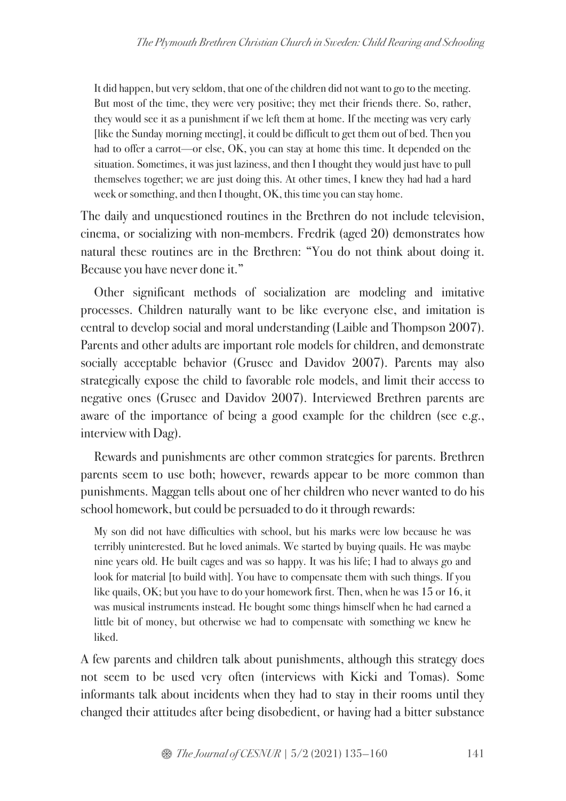It did happen, but very seldom, that one of the children did not want to go to the meeting. But most of the time, they were very positive; they met their friends there. So, rather, they would see it as a punishment if we left them at home. If the meeting was very early [like the Sunday morning meeting], it could be difficult to get them out of bed. Then you had to offer a carrot—or else, OK, you can stay at home this time. It depended on the situation. Sometimes, it was just laziness, and then I thought they would just have to pull themselves together; we are just doing this. At other times, I knew they had had a hard week or something, and then I thought, OK, this time you can stay home.

The daily and unquestioned routines in the Brethren do not include television, cinema, or socializing with non-members. Fredrik (aged 20) demonstrates how natural these routines are in the Brethren: "You do not think about doing it. Because you have never done it."

Other significant methods of socialization are modeling and imitative processes. Children naturally want to be like everyone else, and imitation is central to develop social and moral understanding (Laible and Thompson 2007). Parents and other adults are important role models for children, and demonstrate socially acceptable behavior (Grusec and Davidov 2007). Parents may also strategically expose the child to favorable role models, and limit their access to negative ones (Grusec and Davidov 2007). Interviewed Brethren parents are aware of the importance of being a good example for the children (see e.g., interview with Dag).

Rewards and punishments are other common strategies for parents. Brethren parents seem to use both; however, rewards appear to be more common than punishments. Maggan tells about one of her children who never wanted to do his school homework, but could be persuaded to do it through rewards:

My son did not have difficulties with school, but his marks were low because he was terribly uninterested. But he loved animals. We started by buying quails. He was maybe nine years old. He built cages and was so happy. It was his life; I had to always go and look for material [to build with]. You have to compensate them with such things. If you like quails, OK; but you have to do your homework first. Then, when he was 15 or 16, it was musical instruments instead. He bought some things himself when he had earned a little bit of money, but otherwise we had to compensate with something we knew he liked.

A few parents and children talk about punishments, although this strategy does not seem to be used very often (interviews with Kicki and Tomas). Some informants talk about incidents when they had to stay in their rooms until they changed their attitudes after being disobedient, or having had a bitter substance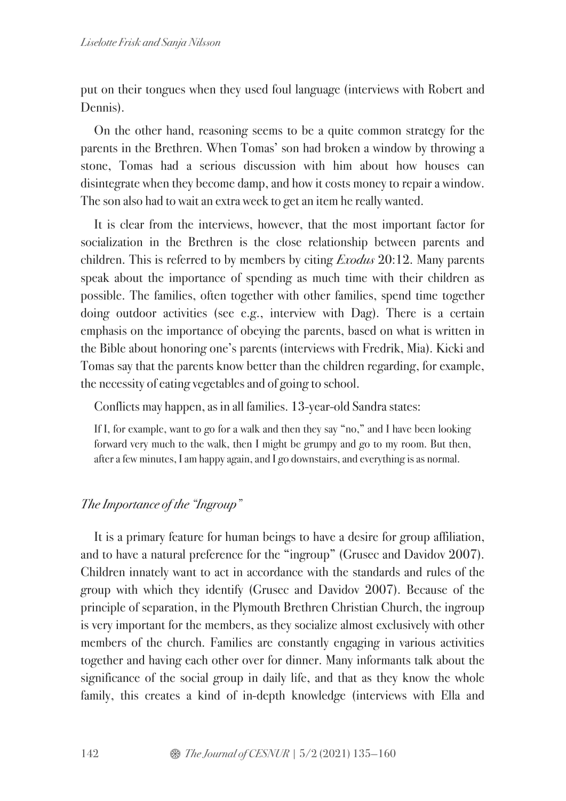put on their tongues when they used foul language (interviews with Robert and Dennis).

On the other hand, reasoning seems to be a quite common strategy for the parents in the Brethren. When Tomas' son had broken a window by throwing a stone, Tomas had a serious discussion with him about how houses can disintegrate when they become damp, and how it costs money to repair a window. The son also had to wait an extra week to get an item he really wanted.

It is clear from the interviews, however, that the most important factor for socialization in the Brethren is the close relationship between parents and children. This is referred to by members by citing *Exodus* 20:12. Many parents speak about the importance of spending as much time with their children as possible. The families, often together with other families, spend time together doing outdoor activities (see e.g., interview with Dag). There is a certain emphasis on the importance of obeying the parents, based on what is written in the Bible about honoring one's parents (interviews with Fredrik, Mia). Kicki and Tomas say that the parents know better than the children regarding, for example, the necessity of eating vegetables and of going to school.

Conflicts may happen, as in all families. 13-year-old Sandra states:

If I, for example, want to go for a walk and then they say "no," and I have been looking forward very much to the walk, then I might be grumpy and go to my room. But then, after a few minutes, I am happy again, and I go downstairs, and everything is as normal.

## *The Importance of the "Ingroup"*

It is a primary feature for human beings to have a desire for group affiliation, and to have a natural preference for the "ingroup" (Grusec and Davidov 2007). Children innately want to act in accordance with the standards and rules of the group with which they identify (Grusec and Davidov 2007). Because of the principle of separation, in the Plymouth Brethren Christian Church, the ingroup is very important for the members, as they socialize almost exclusively with other members of the church. Families are constantly engaging in various activities together and having each other over for dinner. Many informants talk about the significance of the social group in daily life, and that as they know the whole family, this creates a kind of in-depth knowledge (interviews with Ella and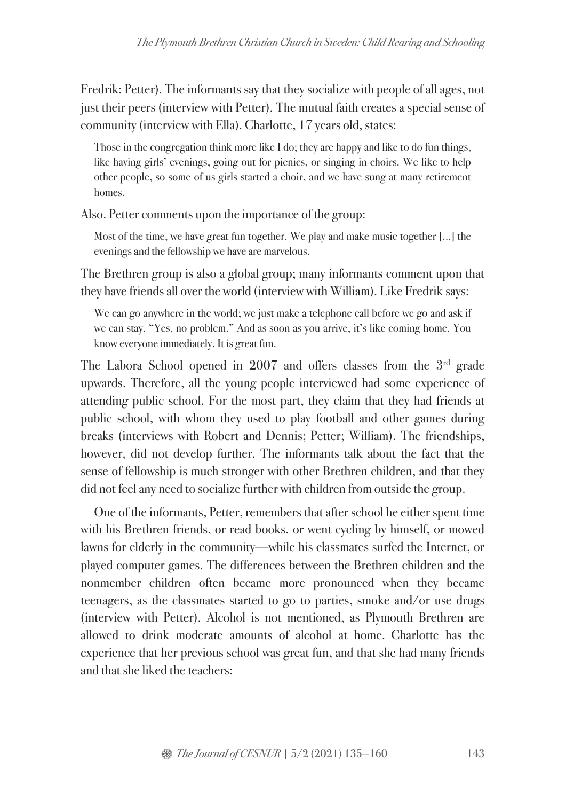Fredrik: Petter). The informants say that they socialize with people of all ages, not just their peers (interview with Petter). The mutual faith creates a special sense of community (interview with Ella). Charlotte, 17 years old, states:

Those in the congregation think more like I do; they are happy and like to do fun things, like having girls' evenings, going out for picnics, or singing in choirs. We like to help other people, so some of us girls started a choir, and we have sung at many retirement homes.

Also. Petter comments upon the importance of the group:

Most of the time, we have great fun together. We play and make music together […] the evenings and the fellowship we have are marvelous.

The Brethren group is also a global group; many informants comment upon that they have friends all over the world (interview with William). Like Fredrik says:

We can go anywhere in the world; we just make a telephone call before we go and ask if we can stay. "Yes, no problem." And as soon as you arrive, it's like coming home. You know everyone immediately. It is great fun.

The Labora School opened in  $2007$  and offers classes from the  $3<sup>rd</sup>$  grade upwards. Therefore, all the young people interviewed had some experience of attending public school. For the most part, they claim that they had friends at public school, with whom they used to play football and other games during breaks (interviews with Robert and Dennis; Petter; William). The friendships, however, did not develop further. The informants talk about the fact that the sense of fellowship is much stronger with other Brethren children, and that they did not feel any need to socialize further with children from outside the group.

One of the informants, Petter, remembers that after school he either spent time with his Brethren friends, or read books. or went cycling by himself, or mowed lawns for elderly in the community—while his classmates surfed the Internet, or played computer games. The differences between the Brethren children and the nonmember children often became more pronounced when they became teenagers, as the classmates started to go to parties, smoke and/or use drugs (interview with Petter). Alcohol is not mentioned, as Plymouth Brethren are allowed to drink moderate amounts of alcohol at home. Charlotte has the experience that her previous school was great fun, and that she had many friends and that she liked the teachers: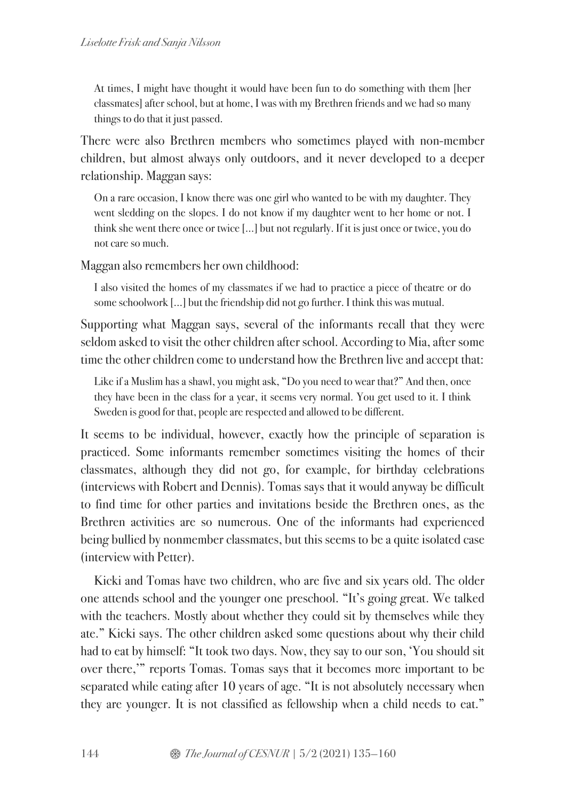At times, I might have thought it would have been fun to do something with them [her classmates] after school, but at home, I was with my Brethren friends and we had so many things to do that it just passed.

There were also Brethren members who sometimes played with non-member children, but almost always only outdoors, and it never developed to a deeper relationship. Maggan says:

On a rare occasion, I know there was one girl who wanted to be with my daughter. They went sledding on the slopes. I do not know if my daughter went to her home or not. I think she went there once or twice […] but not regularly. If it is just once or twice, you do not care so much.

Maggan also remembers her own childhood:

I also visited the homes of my classmates if we had to practice a piece of theatre or do some schoolwork […] but the friendship did not go further. I think this was mutual.

Supporting what Maggan says, several of the informants recall that they were seldom asked to visit the other children after school. According to Mia, after some time the other children come to understand how the Brethren live and accept that:

Like if a Muslim has a shawl, you might ask, "Do you need to wear that?" And then, once they have been in the class for a year, it seems very normal. You get used to it. I think Sweden is good for that, people are respected and allowed to be different.

It seems to be individual, however, exactly how the principle of separation is practiced. Some informants remember sometimes visiting the homes of their classmates, although they did not go, for example, for birthday celebrations (interviews with Robert and Dennis). Tomas says that it would anyway be difficult to find time for other parties and invitations beside the Brethren ones, as the Brethren activities are so numerous. One of the informants had experienced being bullied by nonmember classmates, but this seems to be a quite isolated case (interview with Petter).

Kicki and Tomas have two children, who are five and six years old. The older one attends school and the younger one preschool. "It's going great. We talked with the teachers. Mostly about whether they could sit by themselves while they ate." Kicki says. The other children asked some questions about why their child had to eat by himself: "It took two days. Now, they say to our son, 'You should sit over there,'" reports Tomas. Tomas says that it becomes more important to be separated while eating after 10 years of age. "It is not absolutely necessary when they are younger. It is not classified as fellowship when a child needs to eat."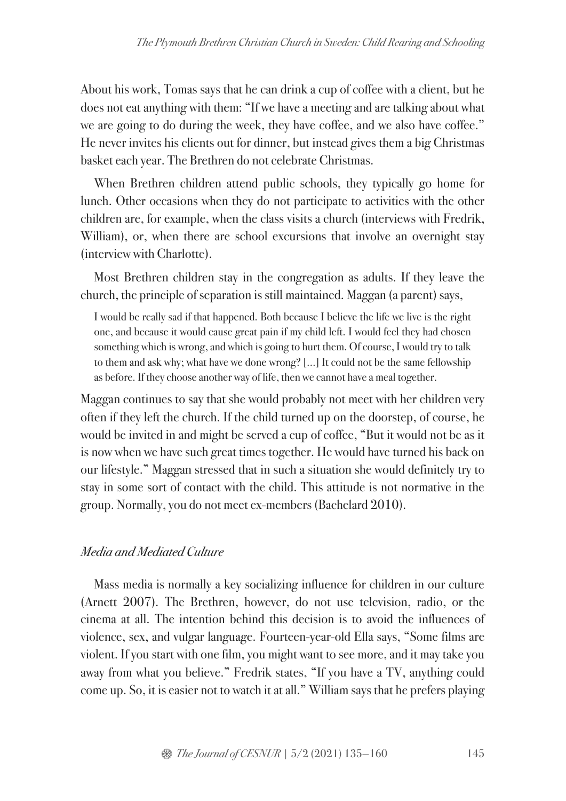About his work, Tomas says that he can drink a cup of coffee with a client, but he does not eat anything with them: "If we have a meeting and are talking about what we are going to do during the week, they have coffee, and we also have coffee." He never invites his clients out for dinner, but instead gives them a big Christmas basket each year. The Brethren do not celebrate Christmas.

When Brethren children attend public schools, they typically go home for lunch. Other occasions when they do not participate to activities with the other children are, for example, when the class visits a church (interviews with Fredrik, William), or, when there are school excursions that involve an overnight stay (interview with Charlotte).

Most Brethren children stay in the congregation as adults. If they leave the church, the principle of separation is still maintained. Maggan (a parent) says,

I would be really sad if that happened. Both because I believe the life we live is the right one, and because it would cause great pain if my child left. I would feel they had chosen something which is wrong, and which is going to hurt them. Of course, I would try to talk to them and ask why; what have we done wrong? […] It could not be the same fellowship as before. If they choose another way of life, then we cannot have a meal together.

Maggan continues to say that she would probably not meet with her children very often if they left the church. If the child turned up on the doorstep, of course, he would be invited in and might be served a cup of coffee, "But it would not be as it is now when we have such great times together. He would have turned his back on our lifestyle." Maggan stressed that in such a situation she would definitely try to stay in some sort of contact with the child. This attitude is not normative in the group. Normally, you do not meet ex-members (Bachelard 2010).

## *Media and Mediated Culture*

Mass media is normally a key socializing influence for children in our culture (Arnett 2007). The Brethren, however, do not use television, radio, or the cinema at all. The intention behind this decision is to avoid the influences of violence, sex, and vulgar language. Fourteen-year-old Ella says, "Some films are violent. If you start with one film, you might want to see more, and it may take you away from what you believe." Fredrik states, "If you have a TV, anything could come up. So, it is easier not to watch it at all." William says that he prefers playing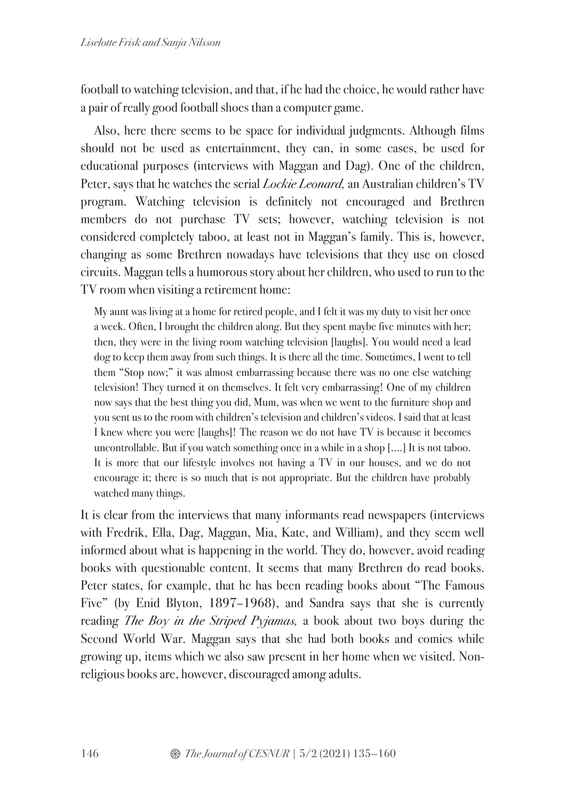football to watching television, and that, if he had the choice, he would rather have a pair of really good football shoes than a computer game.

Also, here there seems to be space for individual judgments. Although films should not be used as entertainment, they can, in some cases, be used for educational purposes (interviews with Maggan and Dag). One of the children, Peter, says that he watches the serial *Lockie Leonard,* an Australian children's TV program. Watching television is definitely not encouraged and Brethren members do not purchase TV sets; however, watching television is not considered completely taboo, at least not in Maggan's family. This is, however, changing as some Brethren nowadays have televisions that they use on closed circuits. Maggan tells a humorous story about her children, who used to run to the TV room when visiting a retirement home:

My aunt was living at a home for retired people, and I felt it was my duty to visit her once a week. Often, I brought the children along. But they spent maybe five minutes with her; then, they were in the living room watching television [laughs]. You would need a lead dog to keep them away from such things. It is there all the time. Sometimes, I went to tell them "Stop now;" it was almost embarrassing because there was no one else watching television! They turned it on themselves. It felt very embarrassing! One of my children now says that the best thing you did, Mum, was when we went to the furniture shop and you sent us to the room with children's television and children's videos. I said that at least I knew where you were [laughs]! The reason we do not have TV is because it becomes uncontrollable. But if you watch something once in a while in a shop [….] It is not taboo. It is more that our lifestyle involves not having a TV in our houses, and we do not encourage it; there is so much that is not appropriate. But the children have probably watched many things.

It is clear from the interviews that many informants read newspapers (interviews with Fredrik, Ella, Dag, Maggan, Mia, Kate, and William), and they seem well informed about what is happening in the world. They do, however, avoid reading books with questionable content. It seems that many Brethren do read books. Peter states, for example, that he has been reading books about "The Famous Five" (by Enid Blyton, 1897–1968), and Sandra says that she is currently reading *The Boy in the Striped Pyjamas,* a book about two boys during the Second World War. Maggan says that she had both books and comics while growing up, items which we also saw present in her home when we visited. Nonreligious books are, however, discouraged among adults.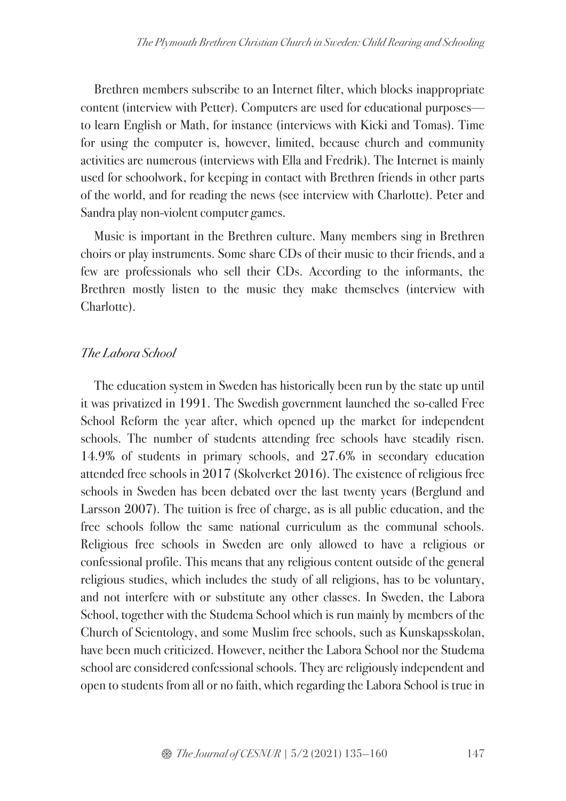Brethren members subscribe to an Internet filter, which blocks inappropriate content (interview with Petter). Computers are used for educational purposes to learn English or Math, for instance (interviews with Kicki and Tomas). Time for using the computer is, however, limited, because church and community activities are numerous (interviews with Ella and Fredrik). The Internet is mainly used for schoolwork, for keeping in contact with Brethren friends in other parts of the world, and for reading the news (see interview with Charlotte). Peter and Sandra play non-violent computer games.

Music is important in the Brethren culture. Many members sing in Brethren choirs or play instruments. Some share CDs of their music to their friends, and a few are professionals who sell their CDs. According to the informants, the Brethren mostly listen to the music they make themselves (interview with Charlotte).

# *The Labora School*

The education system in Sweden has historically been run by the state up until it was privatized in 1991. The Swedish government launched the so-called Free School Reform the year after, which opened up the market for independent schools. The number of students attending free schools have steadily risen. 14.9% of students in primary schools, and 27.6% in secondary education attended free schools in 2017 (Skolverket 2016). The existence of religious free schools in Sweden has been debated over the last twenty years (Berglund and Larsson 2007). The tuition is free of charge, as is all public education, and the free schools follow the same national curriculum as the communal schools. Religious free schools in Sweden are only allowed to have a religious or confessional profile. This means that any religious content outside of the general religious studies, which includes the study of all religions, has to be voluntary, and not interfere with or substitute any other classes. In Sweden, the Labora School, together with the Studema School which is run mainly by members of the Church of Scientology, and some Muslim free schools, such as Kunskapsskolan, have been much criticized. However, neither the Labora School nor the Studema school are considered confessional schools. They are religiously independent and open to students from all or no faith, which regarding the Labora School is true in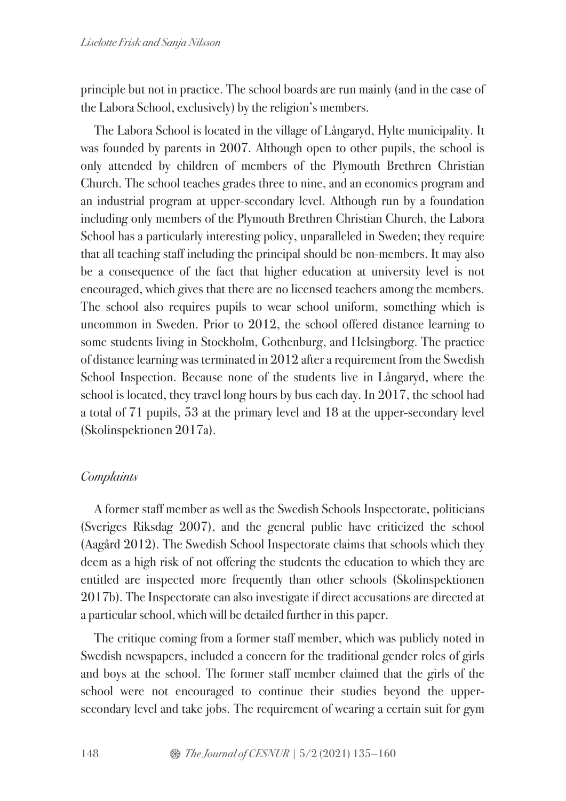principle but not in practice. The school boards are run mainly (and in the case of the Labora School, exclusively) by the religion's members.

The Labora School is located in the village of Långaryd, Hylte municipality. It was founded by parents in 2007. Although open to other pupils, the school is only attended by children of members of the Plymouth Brethren Christian Church. The school teaches grades three to nine, and an economics program and an industrial program at upper-secondary level. Although run by a foundation including only members of the Plymouth Brethren Christian Church, the Labora School has a particularly interesting policy, unparalleled in Sweden; they require that all teaching staff including the principal should be non-members. It may also be a consequence of the fact that higher education at university level is not encouraged, which gives that there are no licensed teachers among the members. The school also requires pupils to wear school uniform, something which is uncommon in Sweden. Prior to 2012, the school offered distance learning to some students living in Stockholm, Gothenburg, and Helsingborg. The practice of distance learning was terminated in 2012 after a requirement from the Swedish School Inspection. Because none of the students live in Långaryd, where the school is located, they travel long hours by bus each day. In 2017, the school had a total of 71 pupils, 53 at the primary level and 18 at the upper-secondary level (Skolinspektionen 2017a).

### *Complaints*

A former staff member as well as the Swedish Schools Inspectorate, politicians (Sveriges Riksdag 2007), and the general public have criticized the school (Aagård 2012). The Swedish School Inspectorate claims that schools which they deem as a high risk of not offering the students the education to which they are entitled are inspected more frequently than other schools (Skolinspektionen 2017b). The Inspectorate can also investigate if direct accusations are directed at a particular school, which will be detailed further in this paper.

The critique coming from a former staff member, which was publicly noted in Swedish newspapers, included a concern for the traditional gender roles of girls and boys at the school. The former staff member claimed that the girls of the school were not encouraged to continue their studies beyond the uppersecondary level and take jobs. The requirement of wearing a certain suit for gym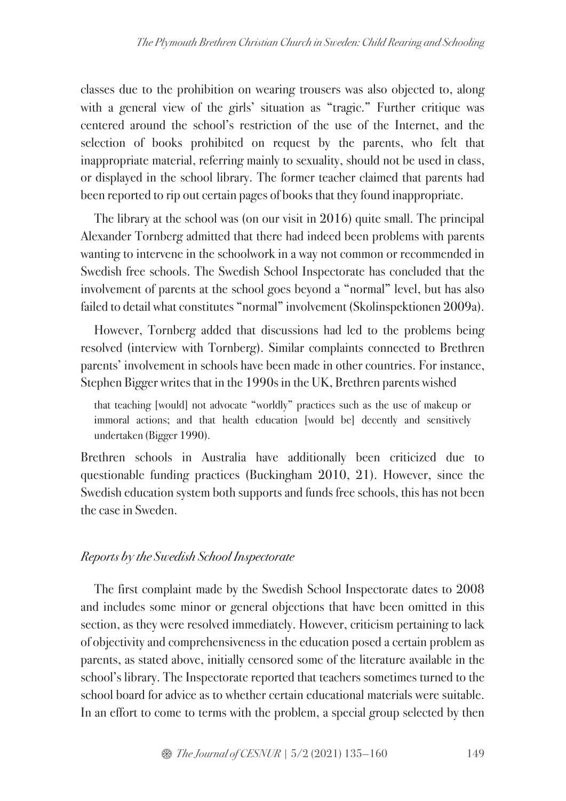classes due to the prohibition on wearing trousers was also objected to, along with a general view of the girls' situation as "tragic." Further critique was centered around the school's restriction of the use of the Internet, and the selection of books prohibited on request by the parents, who felt that inappropriate material, referring mainly to sexuality, should not be used in class, or displayed in the school library. The former teacher claimed that parents had been reported to rip out certain pages of books that they found inappropriate.

The library at the school was (on our visit in 2016) quite small. The principal Alexander Tornberg admitted that there had indeed been problems with parents wanting to intervene in the schoolwork in a way not common or recommended in Swedish free schools. The Swedish School Inspectorate has concluded that the involvement of parents at the school goes beyond a "normal" level, but has also failed to detail what constitutes "normal" involvement (Skolinspektionen 2009a).

However, Tornberg added that discussions had led to the problems being resolved (interview with Tornberg). Similar complaints connected to Brethren parents' involvement in schools have been made in other countries. For instance, Stephen Bigger writes that in the 1990s in the UK, Brethren parents wished

that teaching [would] not advocate "worldly" practices such as the use of makeup or immoral actions; and that health education [would be] decently and sensitively undertaken (Bigger 1990).

Brethren schools in Australia have additionally been criticized due to questionable funding practices (Buckingham 2010, 21). However, since the Swedish education system both supports and funds free schools, this has not been the case in Sweden.

# *Reports by the Swedish School Inspectorate*

The first complaint made by the Swedish School Inspectorate dates to 2008 and includes some minor or general objections that have been omitted in this section, as they were resolved immediately. However, criticism pertaining to lack of objectivity and comprehensiveness in the education posed a certain problem as parents, as stated above, initially censored some of the literature available in the school's library. The Inspectorate reported that teachers sometimes turned to the school board for advice as to whether certain educational materials were suitable. In an effort to come to terms with the problem, a special group selected by then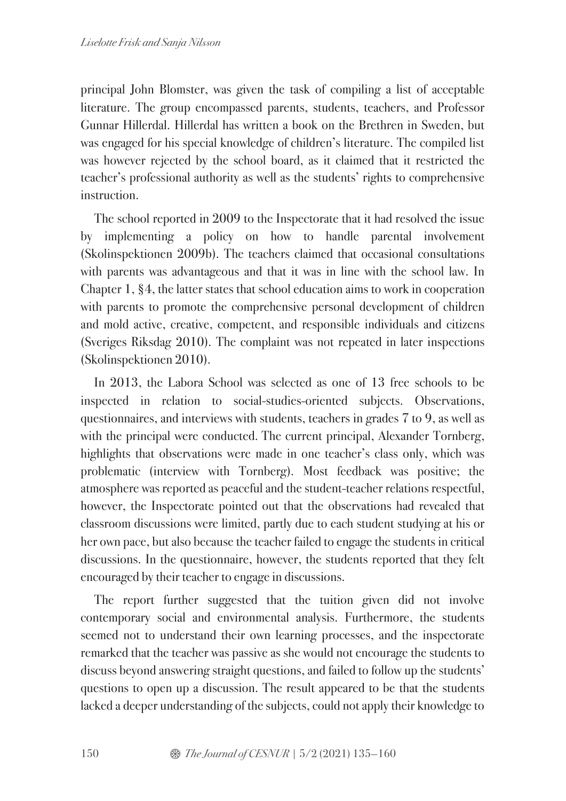principal John Blomster, was given the task of compiling a list of acceptable literature. The group encompassed parents, students, teachers, and Professor Gunnar Hillerdal. Hillerdal has written a book on the Brethren in Sweden, but was engaged for his special knowledge of children's literature. The compiled list was however rejected by the school board, as it claimed that it restricted the teacher's professional authority as well as the students' rights to comprehensive instruction.

The school reported in 2009 to the Inspectorate that it had resolved the issue by implementing a policy on how to handle parental involvement (Skolinspektionen 2009b). The teachers claimed that occasional consultations with parents was advantageous and that it was in line with the school law. In Chapter 1, §4, the latter states that school education aims to work in cooperation with parents to promote the comprehensive personal development of children and mold active, creative, competent, and responsible individuals and citizens (Sveriges Riksdag 2010). The complaint was not repeated in later inspections (Skolinspektionen 2010).

In 2013, the Labora School was selected as one of 13 free schools to be inspected in relation to social-studies-oriented subjects. Observations, questionnaires, and interviews with students, teachers in grades 7 to 9, as well as with the principal were conducted. The current principal, Alexander Tornberg, highlights that observations were made in one teacher's class only, which was problematic (interview with Tornberg). Most feedback was positive; the atmosphere was reported as peaceful and the student-teacher relations respectful, however, the Inspectorate pointed out that the observations had revealed that classroom discussions were limited, partly due to each student studying at his or her own pace, but also because the teacher failed to engage the students in critical discussions. In the questionnaire, however, the students reported that they felt encouraged by their teacher to engage in discussions.

The report further suggested that the tuition given did not involve contemporary social and environmental analysis. Furthermore, the students seemed not to understand their own learning processes, and the inspectorate remarked that the teacher was passive as she would not encourage the students to discuss beyond answering straight questions, and failed to follow up the students' questions to open up a discussion. The result appeared to be that the students lacked a deeper understanding of the subjects, could not apply their knowledge to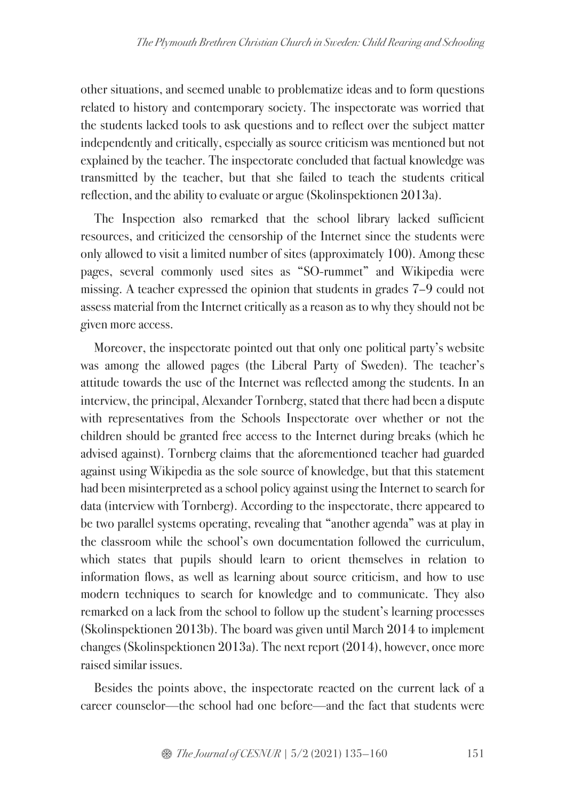other situations, and seemed unable to problematize ideas and to form questions related to history and contemporary society. The inspectorate was worried that the students lacked tools to ask questions and to reflect over the subject matter independently and critically, especially as source criticism was mentioned but not explained by the teacher. The inspectorate concluded that factual knowledge was transmitted by the teacher, but that she failed to teach the students critical reflection, and the ability to evaluate or argue (Skolinspektionen 2013a).

The Inspection also remarked that the school library lacked sufficient resources, and criticized the censorship of the Internet since the students were only allowed to visit a limited number of sites (approximately 100). Among these pages, several commonly used sites as "SO-rummet" and Wikipedia were missing. A teacher expressed the opinion that students in grades 7–9 could not assess material from the Internet critically as a reason as to why they should not be given more access.

Moreover, the inspectorate pointed out that only one political party's website was among the allowed pages (the Liberal Party of Sweden). The teacher's attitude towards the use of the Internet was reflected among the students. In an interview, the principal, Alexander Tornberg, stated that there had been a dispute with representatives from the Schools Inspectorate over whether or not the children should be granted free access to the Internet during breaks (which he advised against). Tornberg claims that the aforementioned teacher had guarded against using Wikipedia as the sole source of knowledge, but that this statement had been misinterpreted as a school policy against using the Internet to search for data (interview with Tornberg). According to the inspectorate, there appeared to be two parallel systems operating, revealing that "another agenda" was at play in the classroom while the school's own documentation followed the curriculum, which states that pupils should learn to orient themselves in relation to information flows, as well as learning about source criticism, and how to use modern techniques to search for knowledge and to communicate. They also remarked on a lack from the school to follow up the student's learning processes (Skolinspektionen 2013b). The board was given until March 2014 to implement changes (Skolinspektionen 2013a). The next report (2014), however, once more raised similar issues.

Besides the points above, the inspectorate reacted on the current lack of a career counselor—the school had one before—and the fact that students were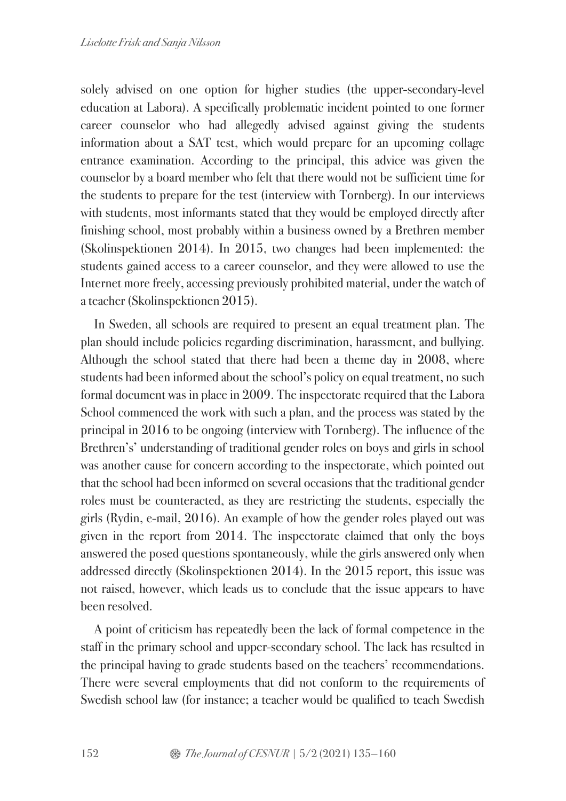solely advised on one option for higher studies (the upper-secondary-level education at Labora). A specifically problematic incident pointed to one former career counselor who had allegedly advised against giving the students information about a SAT test, which would prepare for an upcoming collage entrance examination. According to the principal, this advice was given the counselor by a board member who felt that there would not be sufficient time for the students to prepare for the test (interview with Tornberg). In our interviews with students, most informants stated that they would be employed directly after finishing school, most probably within a business owned by a Brethren member (Skolinspektionen 2014). In 2015, two changes had been implemented: the students gained access to a career counselor, and they were allowed to use the Internet more freely, accessing previously prohibited material, under the watch of a teacher (Skolinspektionen 2015).

In Sweden, all schools are required to present an equal treatment plan. The plan should include policies regarding discrimination, harassment, and bullying. Although the school stated that there had been a theme day in 2008, where students had been informed about the school's policy on equal treatment, no such formal document was in place in 2009. The inspectorate required that the Labora School commenced the work with such a plan, and the process was stated by the principal in 2016 to be ongoing (interview with Tornberg). The influence of the Brethren's' understanding of traditional gender roles on boys and girls in school was another cause for concern according to the inspectorate, which pointed out that the school had been informed on several occasions that the traditional gender roles must be counteracted, as they are restricting the students, especially the girls (Rydin, e-mail, 2016). An example of how the gender roles played out was given in the report from 2014. The inspectorate claimed that only the boys answered the posed questions spontaneously, while the girls answered only when addressed directly (Skolinspektionen 2014). In the 2015 report, this issue was not raised, however, which leads us to conclude that the issue appears to have been resolved.

A point of criticism has repeatedly been the lack of formal competence in the staff in the primary school and upper-secondary school. The lack has resulted in the principal having to grade students based on the teachers' recommendations. There were several employments that did not conform to the requirements of Swedish school law (for instance; a teacher would be qualified to teach Swedish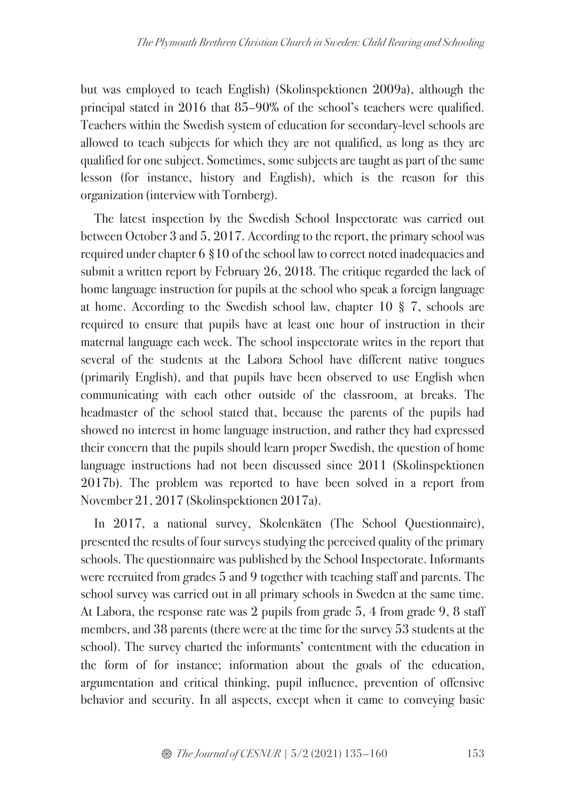but was employed to teach English) (Skolinspektionen 2009a), although the principal stated in 2016 that 85–90% of the school's teachers were qualified. Teachers within the Swedish system of education for secondary-level schools are allowed to teach subjects for which they are not qualified, as long as they are qualified for one subject. Sometimes, some subjects are taught as part of the same lesson (for instance, history and English), which is the reason for this organization (interview with Tornberg).

The latest inspection by the Swedish School Inspectorate was carried out between October 3 and 5, 2017. According to the report, the primary school was required under chapter 6 §10 of the school law to correct noted inadequacies and submit a written report by February 26, 2018. The critique regarded the lack of home language instruction for pupils at the school who speak a foreign language at home. According to the Swedish school law, chapter 10 § 7, schools are required to ensure that pupils have at least one hour of instruction in their maternal language each week. The school inspectorate writes in the report that several of the students at the Labora School have different native tongues (primarily English), and that pupils have been observed to use English when communicating with each other outside of the classroom, at breaks. The headmaster of the school stated that, because the parents of the pupils had showed no interest in home language instruction, and rather they had expressed their concern that the pupils should learn proper Swedish, the question of home language instructions had not been discussed since 2011 (Skolinspektionen 2017b). The problem was reported to have been solved in a report from November 21, 2017 (Skolinspektionen 2017a).

In 2017, a national survey, Skolenkäten (The School Questionnaire), presented the results of four surveys studying the perceived quality of the primary schools. The questionnaire was published by the School Inspectorate. Informants were recruited from grades 5 and 9 together with teaching staff and parents. The school survey was carried out in all primary schools in Sweden at the same time. At Labora, the response rate was 2 pupils from grade 5, 4 from grade 9, 8 staff members, and 38 parents (there were at the time for the survey 53 students at the school). The survey charted the informants' contentment with the education in the form of for instance; information about the goals of the education, argumentation and critical thinking, pupil influence, prevention of offensive behavior and security. In all aspects, except when it came to conveying basic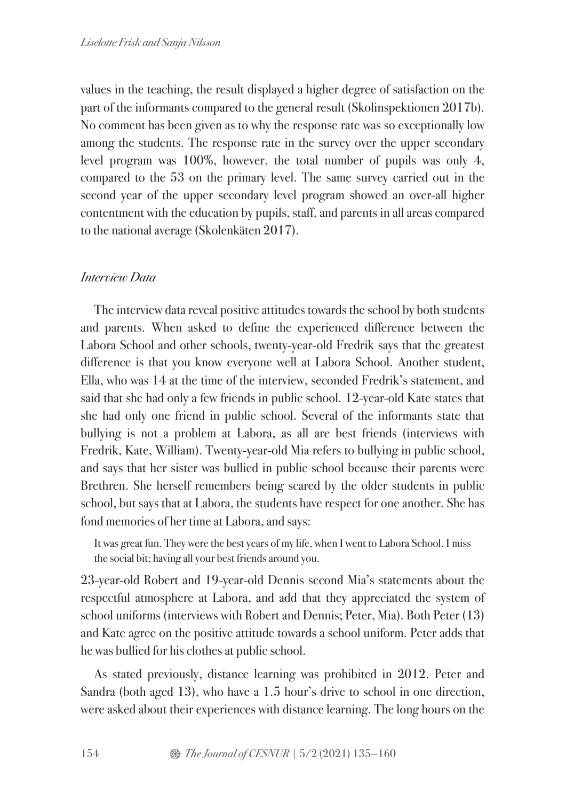values in the teaching, the result displayed a higher degree of satisfaction on the part of the informants compared to the general result (Skolinspektionen 2017b). No comment has been given as to why the response rate was so exceptionally low among the students. The response rate in the survey over the upper secondary level program was 100%, however, the total number of pupils was only 4, compared to the 53 on the primary level. The same survey carried out in the second year of the upper secondary level program showed an over-all higher contentment with the education by pupils, staff, and parents in all areas compared to the national average (Skolenkäten 2017).

## *Interview Data*

The interview data reveal positive attitudes towards the school by both students and parents. When asked to define the experienced difference between the Labora School and other schools, twenty-year-old Fredrik says that the greatest difference is that you know everyone well at Labora School. Another student, Ella, who was 14 at the time of the interview, seconded Fredrik's statement, and said that she had only a few friends in public school. 12-year-old Kate states that she had only one friend in public school. Several of the informants state that bullying is not a problem at Labora, as all are best friends (interviews with Fredrik, Kate, William). Twenty-year-old Mia refers to bullying in public school, and says that her sister was bullied in public school because their parents were Brethren. She herself remembers being scared by the older students in public school, but says that at Labora, the students have respect for one another. She has fond memories of her time at Labora, and says:

It was great fun. They were the best years of my life, when I went to Labora School. I miss the social bit; having all your best friends around you.

23-year-old Robert and 19-year-old Dennis second Mia's statements about the respectful atmosphere at Labora, and add that they appreciated the system of school uniforms (interviews with Robert and Dennis; Peter, Mia). Both Peter (13) and Kate agree on the positive attitude towards a school uniform. Peter adds that he was bullied for his clothes at public school.

As stated previously, distance learning was prohibited in 2012. Peter and Sandra (both aged 13), who have a 1.5 hour's drive to school in one direction, were asked about their experiences with distance learning. The long hours on the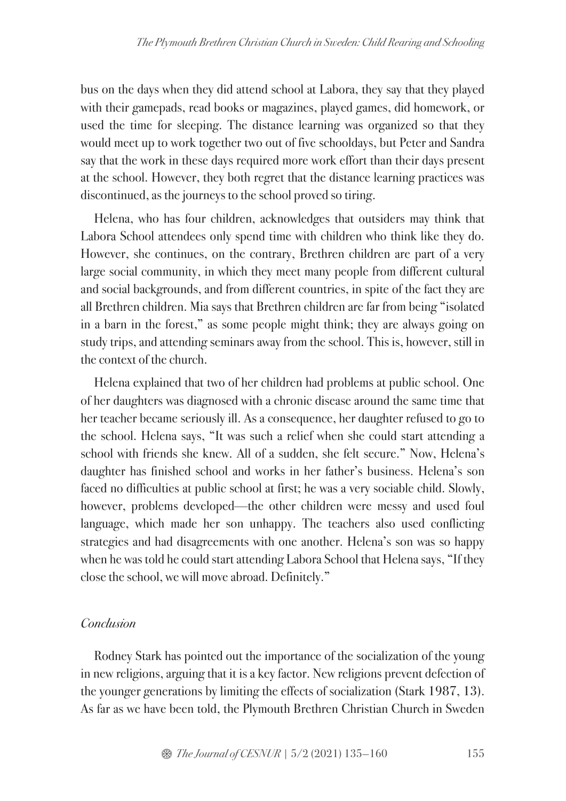bus on the days when they did attend school at Labora, they say that they played with their gamepads, read books or magazines, played games, did homework, or used the time for sleeping. The distance learning was organized so that they would meet up to work together two out of five schooldays, but Peter and Sandra say that the work in these days required more work effort than their days present at the school. However, they both regret that the distance learning practices was discontinued, as the journeys to the school proved so tiring.

Helena, who has four children, acknowledges that outsiders may think that Labora School attendees only spend time with children who think like they do. However, she continues, on the contrary, Brethren children are part of a very large social community, in which they meet many people from different cultural and social backgrounds, and from different countries, in spite of the fact they are all Brethren children. Mia says that Brethren children are far from being "isolated in a barn in the forest," as some people might think; they are always going on study trips, and attending seminars away from the school. This is, however, still in the context of the church.

Helena explained that two of her children had problems at public school. One of her daughters was diagnosed with a chronic disease around the same time that her teacher became seriously ill. As a consequence, her daughter refused to go to the school. Helena says, "It was such a relief when she could start attending a school with friends she knew. All of a sudden, she felt secure." Now, Helena's daughter has finished school and works in her father's business. Helena's son faced no difficulties at public school at first; he was a very sociable child. Slowly, however, problems developed—the other children were messy and used foul language, which made her son unhappy. The teachers also used conflicting strategies and had disagreements with one another. Helena's son was so happy when he was told he could start attending Labora School that Helena says, "If they close the school, we will move abroad. Definitely."

### *Conclusion*

Rodney Stark has pointed out the importance of the socialization of the young in new religions, arguing that it is a key factor. New religions prevent defection of the younger generations by limiting the effects of socialization (Stark 1987, 13). As far as we have been told, the Plymouth Brethren Christian Church in Sweden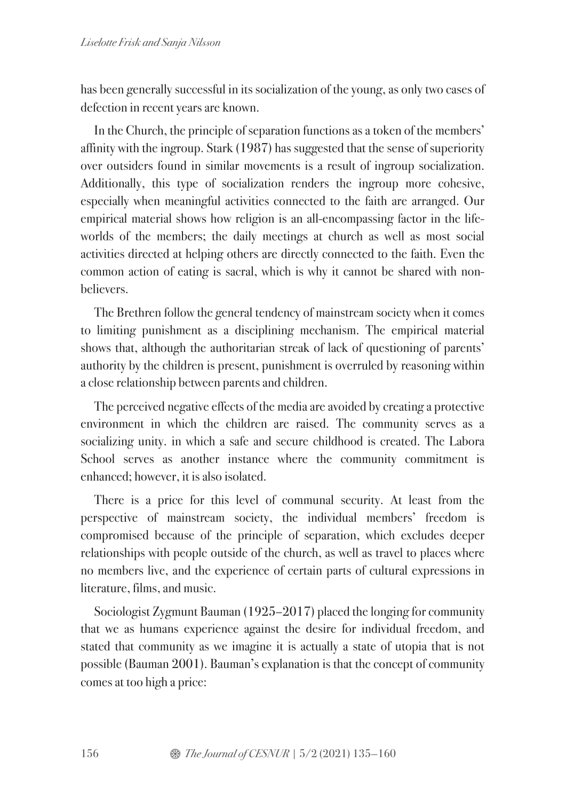has been generally successful in its socialization of the young, as only two cases of defection in recent years are known.

In the Church, the principle of separation functions as a token of the members' affinity with the ingroup. Stark (1987) has suggested that the sense of superiority over outsiders found in similar movements is a result of ingroup socialization. Additionally, this type of socialization renders the ingroup more cohesive, especially when meaningful activities connected to the faith are arranged. Our empirical material shows how religion is an all-encompassing factor in the lifeworlds of the members; the daily meetings at church as well as most social activities directed at helping others are directly connected to the faith. Even the common action of eating is sacral, which is why it cannot be shared with nonbelievers.

The Brethren follow the general tendency of mainstream society when it comes to limiting punishment as a disciplining mechanism. The empirical material shows that, although the authoritarian streak of lack of questioning of parents' authority by the children is present, punishment is overruled by reasoning within a close relationship between parents and children.

The perceived negative effects of the media are avoided by creating a protective environment in which the children are raised. The community serves as a socializing unity. in which a safe and secure childhood is created. The Labora School serves as another instance where the community commitment is enhanced; however, it is also isolated.

There is a price for this level of communal security. At least from the perspective of mainstream society, the individual members' freedom is compromised because of the principle of separation, which excludes deeper relationships with people outside of the church, as well as travel to places where no members live, and the experience of certain parts of cultural expressions in literature, films, and music.

Sociologist Zygmunt Bauman (1925–2017) placed the longing for community that we as humans experience against the desire for individual freedom, and stated that community as we imagine it is actually a state of utopia that is not possible (Bauman 2001). Bauman's explanation is that the concept of community comes at too high a price: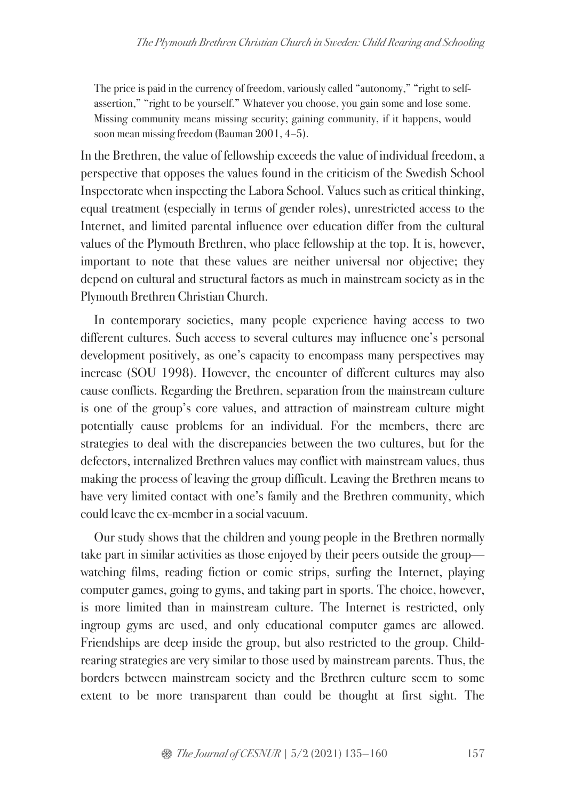The price is paid in the currency of freedom, variously called "autonomy," "right to selfassertion," "right to be yourself." Whatever you choose, you gain some and lose some. Missing community means missing security; gaining community, if it happens, would soon mean missing freedom (Bauman 2001, 4–5).

In the Brethren, the value of fellowship exceeds the value of individual freedom, a perspective that opposes the values found in the criticism of the Swedish School Inspectorate when inspecting the Labora School. Values such as critical thinking, equal treatment (especially in terms of gender roles), unrestricted access to the Internet, and limited parental influence over education differ from the cultural values of the Plymouth Brethren, who place fellowship at the top. It is, however, important to note that these values are neither universal nor objective; they depend on cultural and structural factors as much in mainstream society as in the Plymouth Brethren Christian Church.

In contemporary societies, many people experience having access to two different cultures. Such access to several cultures may influence one's personal development positively, as one's capacity to encompass many perspectives may increase (SOU 1998). However, the encounter of different cultures may also cause conflicts. Regarding the Brethren, separation from the mainstream culture is one of the group's core values, and attraction of mainstream culture might potentially cause problems for an individual. For the members, there are strategies to deal with the discrepancies between the two cultures, but for the defectors, internalized Brethren values may conflict with mainstream values, thus making the process of leaving the group difficult. Leaving the Brethren means to have very limited contact with one's family and the Brethren community, which could leave the ex-member in a social vacuum.

Our study shows that the children and young people in the Brethren normally take part in similar activities as those enjoyed by their peers outside the group watching films, reading fiction or comic strips, surfing the Internet, playing computer games, going to gyms, and taking part in sports. The choice, however, is more limited than in mainstream culture. The Internet is restricted, only ingroup gyms are used, and only educational computer games are allowed. Friendships are deep inside the group, but also restricted to the group. Childrearing strategies are very similar to those used by mainstream parents. Thus, the borders between mainstream society and the Brethren culture seem to some extent to be more transparent than could be thought at first sight. The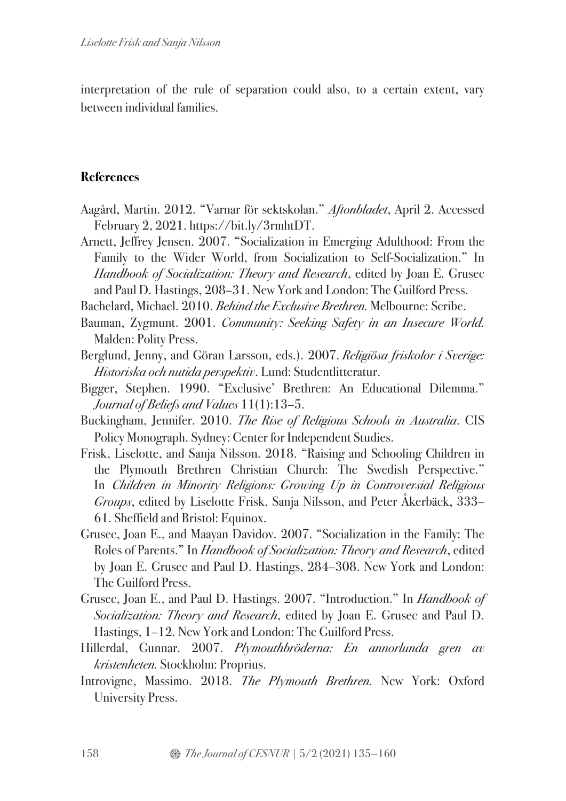interpretation of the rule of separation could also, to a certain extent, vary between individual families.

### **References**

- Aagård, Martin. 2012. "Varnar för sektskolan." *Aftonbladet*, April 2. Accessed February 2, 2021. https://bit.ly/3rmhtDT.
- Arnett, Jeffrey Jensen. 2007. "Socialization in Emerging Adulthood: From the Family to the Wider World, from Socialization to Self-Socialization." In *Handbook of Socialization: Theory and Research*, edited by Joan E. Grusec and Paul D. Hastings, 208–31. New York and London: The Guilford Press.
- Bachelard, Michael. 2010. *Behind the Exclusive Brethren.* Melbourne: Scribe.
- Bauman, Zygmunt. 2001. *Community: Seeking Safety in an Insecure World.* Malden: Polity Press.
- Berglund, Jenny, and Göran Larsson, eds.). 2007. *Religiösa friskolor i Sverige: Historiska och nutida perspektiv*. Lund: Studentlitteratur.
- Bigger, Stephen. 1990. "Exclusive' Brethren: An Educational Dilemma." *Journal of Beliefs and Values* 11(1):13–5.
- Buckingham, Jennifer. 2010. *The Rise of Religious Schools in Australia*. CIS Policy Monograph. Sydney: Center for Independent Studies.
- Frisk, Liselotte, and Sanja Nilsson. 2018. "Raising and Schooling Children in the Plymouth Brethren Christian Church: The Swedish Perspective." In *Children in Minority Religions: Growing Up in Controversial Religious Groups*, edited by Liselotte Frisk, Sanja Nilsson, and Peter Åkerbäck, 333– 61. Sheffield and Bristol: Equinox.
- Grusec, Joan E., and Maayan Davidov. 2007. "Socialization in the Family: The Roles of Parents." In *Handbook of Socialization: Theory and Research*, edited by Joan E. Grusec and Paul D. Hastings, 284–308. New York and London: The Guilford Press.
- Grusec, Joan E., and Paul D. Hastings. 2007. "Introduction." In *Handbook of Socialization: Theory and Research*, edited by Joan E. Grusec and Paul D. Hastings, 1–12. New York and London: The Guilford Press.
- Hillerdal, Gunnar. 2007. *Plymouthbröderna: En annorlunda gren av kristenheten.* Stockholm: Proprius.
- Introvigne, Massimo. 2018. *The Plymouth Brethren.* New York: Oxford University Press.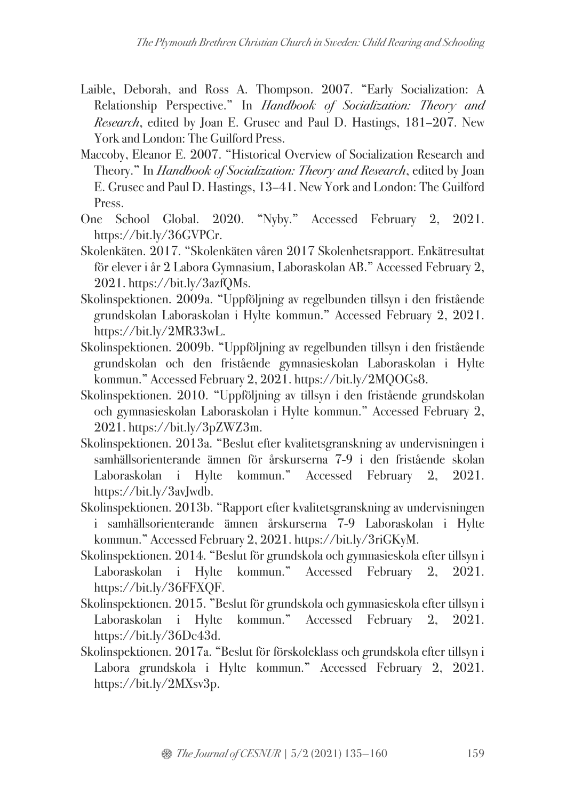- Laible, Deborah, and Ross A. Thompson. 2007. "Early Socialization: A Relationship Perspective." In *Handbook of Socialization: Theory and Research*, edited by Joan E. Grusec and Paul D. Hastings, 181–207. New York and London: The Guilford Press.
- Maccoby, Eleanor E. 2007. "Historical Overview of Socialization Research and Theory." In *Handbook of Socialization: Theory and Research*, edited by Joan E. Grusec and Paul D. Hastings, 13–41. New York and London: The Guilford Press.
- One School Global. 2020. "Nyby." Accessed February 2, 2021. https://bit.ly/36GVPCr.
- Skolenkäten. 2017. "Skolenkäten våren 2017 Skolenhetsrapport. Enkätresultat för elever i år 2 Labora Gymnasium, Laboraskolan AB." Accessed February 2, 2021. https://bit.ly/3azfQMs.
- Skolinspektionen. 2009a. "Uppföljning av regelbunden tillsyn i den fristående grundskolan Laboraskolan i Hylte kommun." Accessed February 2, 2021. https://bit.ly/2MR33wL.
- Skolinspektionen. 2009b. "Uppföljning av regelbunden tillsyn i den fristående grundskolan och den fristående gymnasieskolan Laboraskolan i Hylte kommun." Accessed February 2, 2021. https://bit.ly/2MQOGs8.
- Skolinspektionen. 2010. "Uppföljning av tillsyn i den fristående grundskolan och gymnasieskolan Laboraskolan i Hylte kommun." Accessed February 2, 2021. https://bit.ly/3pZWZ3m.
- Skolinspektionen. 2013a. "Beslut efter kvalitetsgranskning av undervisningen i samhällsorienterande ämnen för årskurserna 7-9 i den fristående skolan Laboraskolan i Hylte kommun." Accessed February 2, 2021. https://bit.ly/3avJwdb.
- Skolinspektionen. 2013b. "Rapport efter kvalitetsgranskning av undervisningen i samhällsorienterande ämnen årskurserna 7-9 Laboraskolan i Hylte kommun." Accessed February 2, 2021. https://bit.ly/3riGKyM.
- Skolinspektionen. 2014. "Beslut för grundskola och gymnasieskola efter tillsyn i Laboraskolan i Hylte kommun." Accessed February 2, 2021. https://bit.ly/36FFXQF.
- Skolinspektionen. 2015. "Beslut för grundskola och gymnasieskola efter tillsyn i Laboraskolan i Hylte kommun." Accessed February 2, 2021. https://bit.ly/36Dc43d.
- Skolinspektionen. 2017a. "Beslut för förskoleklass och grundskola efter tillsyn i Labora grundskola i Hylte kommun." Accessed February 2, 2021. https://bit.ly/2MXsv3p.